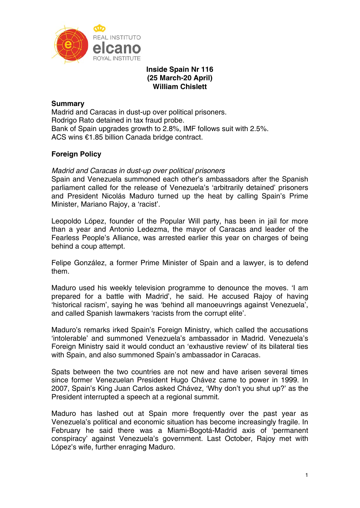

# **Inside Spain Nr 116 (25 March-20 April) William Chislett**

# **Summary**

Madrid and Caracas in dust-up over political prisoners. Rodrigo Rato detained in tax fraud probe. Bank of Spain upgrades growth to 2.8%, IMF follows suit with 2.5%. ACS wins €1.85 billion Canada bridge contract.

# **Foreign Policy**

# *Madrid and Caracas in dust-up over political prisoners*

Spain and Venezuela summoned each other's ambassadors after the Spanish parliament called for the release of Venezuela's 'arbitrarily detained' prisoners and President Nicolás Maduro turned up the heat by calling Spain's Prime Minister, Mariano Rajoy, a 'racist'.

Leopoldo López, founder of the Popular Will party, has been in jail for more than a year and Antonio Ledezma, the mayor of Caracas and leader of the Fearless People's Alliance, was arrested earlier this year on charges of being behind a coup attempt.

Felipe González, a former Prime Minister of Spain and a lawyer, is to defend them.

Maduro used his weekly television programme to denounce the moves. 'I am prepared for a battle with Madrid', he said. He accused Rajoy of having 'historical racism', saying he was 'behind all manoeuvrings against Venezuela', and called Spanish lawmakers 'racists from the corrupt elite'.

Maduro's remarks irked Spain's Foreign Ministry, which called the accusations 'intolerable' and summoned Venezuela's ambassador in Madrid. Venezuela's Foreign Ministry said it would conduct an 'exhaustive review' of its bilateral ties with Spain, and also summoned Spain's ambassador in Caracas.

Spats between the two countries are not new and have arisen several times since former Venezuelan President Hugo Chávez came to power in 1999. In 2007, Spain's King Juan Carlos asked Chávez, 'Why don't you shut up?' as the President interrupted a speech at a regional summit.

Maduro has lashed out at Spain more frequently over the past year as Venezuela's political and economic situation has become increasingly fragile. In February he said there was a Miami-Bogotá-Madrid axis of 'permanent conspiracy' against Venezuela's government. Last October, Rajoy met with López's wife, further enraging Maduro.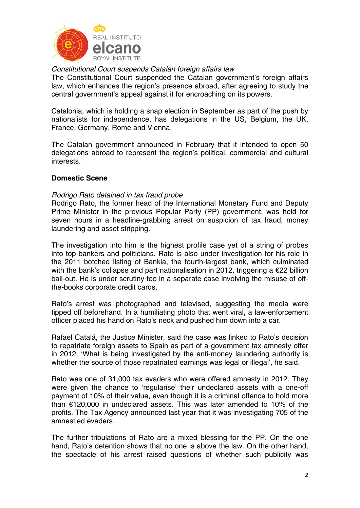

# *Constitutional Court suspends Catalan foreign affairs law*

The Constitutional Court suspended the Catalan government's foreign affairs law, which enhances the region's presence abroad, after agreeing to study the central government's appeal against it for encroaching on its powers.

Catalonia, which is holding a snap election in September as part of the push by nationalists for independence, has delegations in the US, Belgium, the UK, France, Germany, Rome and Vienna.

The Catalan government announced in February that it intended to open 50 delegations abroad to represent the region's political, commercial and cultural interests.

# **Domestic Scene**

## *Rodrigo Rato detained in tax fraud probe*

Rodrigo Rato, the former head of the International Monetary Fund and Deputy Prime Minister in the previous Popular Party (PP) government, was held for seven hours in a headline-grabbing arrest on suspicion of tax fraud, money laundering and asset stripping.

The investigation into him is the highest profile case yet of a string of probes into top bankers and politicians. Rato is also under investigation for his role in the 2011 botched listing of Bankia, the fourth-largest bank, which culminated with the bank's collapse and part nationalisation in 2012, triggering a €22 billion bail-out. He is under scrutiny too in a separate case involving the misuse of offthe-books corporate credit cards.

Rato's arrest was photographed and televised, suggesting the media were tipped off beforehand. In a humiliating photo that went viral, a law-enforcement officer placed his hand on Rato's neck and pushed him down into a car.

Rafael Catalá, the Justice Minister, said the case was linked to Rato's decision to repatriate foreign assets to Spain as part of a government tax amnesty offer in 2012. 'What is being investigated by the anti-money laundering authority is whether the source of those repatriated earnings was legal or illegal', he said.

Rato was one of 31,000 tax evaders who were offered amnesty in 2012. They were given the chance to 'regularise' their undeclared assets with a one-off payment of 10% of their value, even though it is a criminal offence to hold more than €120,000 in undeclared assets. This was later amended to 10% of the profits. The Tax Agency announced last year that it was investigating 705 of the amnestied evaders.

The further tribulations of Rato are a mixed blessing for the PP. On the one hand, Rato's detention shows that no one is above the law. On the other hand, the spectacle of his arrest raised questions of whether such publicity was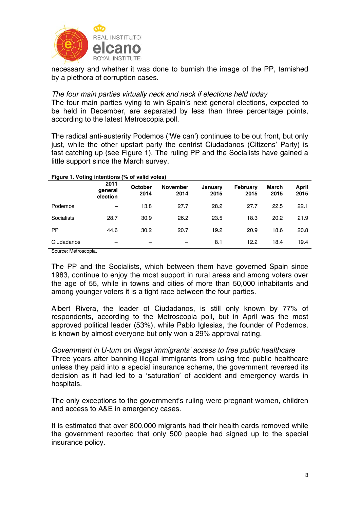

necessary and whether it was done to burnish the image of the PP, tarnished by a plethora of corruption cases.

## *The four main parties virtually neck and neck if elections held today*

The four main parties vying to win Spain's next general elections, expected to be held in December, are separated by less than three percentage points, according to the latest Metroscopia poll.

The radical anti-austerity Podemos ('We can') continues to be out front, but only just, while the other upstart party the centrist Ciudadanos (Citizens' Party) is fast catching up (see Figure 1). The ruling PP and the Socialists have gained a little support since the March survey.

| $\tilde{\phantom{a}}$<br>$\tilde{\phantom{a}}$ |                             |                 | . .                     |                 |                  |               |               |
|------------------------------------------------|-----------------------------|-----------------|-------------------------|-----------------|------------------|---------------|---------------|
|                                                | 2011<br>qeneral<br>election | October<br>2014 | <b>November</b><br>2014 | January<br>2015 | February<br>2015 | March<br>2015 | April<br>2015 |
| Podemos                                        |                             | 13.8            | 27.7                    | 28.2            | 27.7             | 22.5          | 22.1          |
| Socialists                                     | 28.7                        | 30.9            | 26.2                    | 23.5            | 18.3             | 20.2          | 21.9          |
| <b>PP</b>                                      | 44.6                        | 30.2            | 20.7                    | 19.2            | 20.9             | 18.6          | 20.8          |
| Ciudadanos                                     |                             |                 |                         | 8.1             | 12.2             | 18.4          | 19.4          |
| $\sim$ $\sim$ $\sim$ $\sim$                    |                             |                 |                         |                 |                  |               |               |

### **Figure 1. Voting intentions (% of valid votes)**

Source: Metroscopia.

The PP and the Socialists, which between them have governed Spain since 1983, continue to enjoy the most support in rural areas and among voters over the age of 55, while in towns and cities of more than 50,000 inhabitants and among younger voters it is a tight race between the four parties.

Albert Rivera, the leader of Ciudadanos, is still only known by 77% of respondents, according to the Metroscopia poll, but in April was the most approved political leader (53%), while Pablo Iglesias, the founder of Podemos, is known by almost everyone but only won a 29% approval rating.

*Government in U-turn on illegal immigrants' access to free public healthcare*  Three years after banning illegal immigrants from using free public healthcare unless they paid into a special insurance scheme, the government reversed its decision as it had led to a 'saturation' of accident and emergency wards in hospitals.

The only exceptions to the government's ruling were pregnant women, children and access to A&E in emergency cases.

It is estimated that over 800,000 migrants had their health cards removed while the government reported that only 500 people had signed up to the special insurance policy.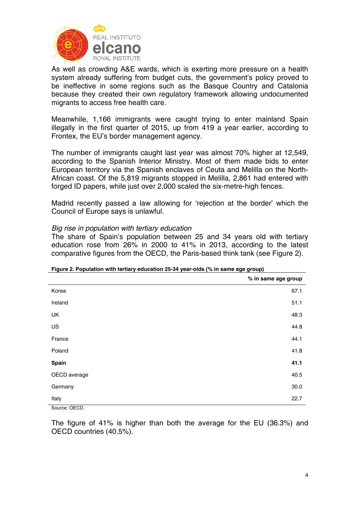

As well as crowding A&E wards, which is exerting more pressure on a health system already suffering from budget cuts, the government's policy proved to be ineffective in some regions such as the Basque Country and Catalonia because they created their own regulatory framework allowing undocumented migrants to access free health care.

Meanwhile, 1,166 immigrants were caught trying to enter mainland Spain illegally in the first quarter of 2015, up from 419 a year earlier, according to Frontex, the EU's border management agency.

The number of immigrants caught last year was almost 70% higher at 12,549, according to the Spanish Interior Ministry. Most of them made bids to enter European territory via the Spanish enclaves of Ceuta and Melilla on the North-African coast. Of the 5,819 migrants stopped in Melilla, 2,861 had entered with forged ID papers, while just over 2,000 scaled the six-metre-high fences.

Madrid recently passed a law allowing for 'rejection at the border' which the Council of Europe says is unlawful.

## *Big rise in population with tertiary education*

The share of Spain's population between 25 and 34 years old with tertiary education rose from 26% in 2000 to 41% in 2013, according to the latest comparative figures from the OECD, the Paris-based think tank (see Figure 2).

| <b>1 igail 2. I operation with tortially cubodition 20 04 year oras</b> (70 m same age group) |                     |
|-----------------------------------------------------------------------------------------------|---------------------|
|                                                                                               | % in same age group |
| Korea                                                                                         | 67.1                |
| Ireland                                                                                       | 51.1                |
| UK                                                                                            | 48.3                |
| US                                                                                            | 44.8                |
| France                                                                                        | 44.1                |
| Poland                                                                                        | 41.8                |
| <b>Spain</b>                                                                                  | 41.1                |
| OECD average                                                                                  | 40.5                |
| Germany                                                                                       | 30.0                |
| Italy                                                                                         | 22.7                |

#### **Figure 2. Population with tertiary education 25-34 year-olds (% in same age group)**

Source: OECD.

The figure of 41% is higher than both the average for the EU (36.3%) and OECD countries (40.5%).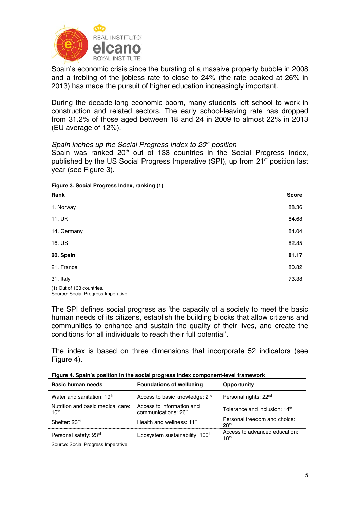

Spain's economic crisis since the bursting of a massive property bubble in 2008 and a trebling of the jobless rate to close to 24% (the rate peaked at 26% in 2013) has made the pursuit of higher education increasingly important.

During the decade-long economic boom, many students left school to work in construction and related sectors. The early school-leaving rate has dropped from 31.2% of those aged between 18 and 24 in 2009 to almost 22% in 2013 (EU average of 12%).

## *Spain inches up the Social Progress Index to 20<sup>th</sup> position*

Spain was ranked 20<sup>th</sup> out of 133 countries in the Social Progress Index, published by the US Social Progress Imperative (SPI), up from 21<sup>st</sup> position last year (see Figure 3).

**Figure 3. Social Progress Index, ranking (1)** 

| Rank        | <b>Score</b> |
|-------------|--------------|
| 1. Norway   | 88.36        |
| 11. UK      | 84.68        |
| 14. Germany | 84.04        |
| 16. US      | 82.85        |
| 20. Spain   | 81.17        |
| 21. France  | 80.82        |
| 31. Italy   | 73.38        |

(1) Out of 133 countries. Source: Social Progress Imperative.

The SPI defines social progress as 'the capacity of a society to meet the basic human needs of its citizens, establish the building blocks that allow citizens and communities to enhance and sustain the quality of their lives, and create the conditions for all individuals to reach their full potential'.

The index is based on three dimensions that incorporate 52 indicators (see Figure 4).

|  | Figure 4. Spain's position in the social progress index component-level framework |  |  |
|--|-----------------------------------------------------------------------------------|--|--|
|--|-----------------------------------------------------------------------------------|--|--|

| Basic human needs                                     | <b>Foundations of wellbeing</b>                               | Opportunity                                       |
|-------------------------------------------------------|---------------------------------------------------------------|---------------------------------------------------|
| Water and sanitation: 19th                            | Access to basic knowledge: 2 <sup>nd</sup>                    | Personal rights: 22 <sup>nd</sup>                 |
| Nutrition and basic medical care:<br>10 <sup>th</sup> | Access to information and<br>communications: 26 <sup>th</sup> | Tolerance and inclusion: 14 <sup>th</sup>         |
| Shelter: 23rd                                         | Health and wellness: $11th$                                   | Personal freedom and choice:<br>28 <sup>th</sup>  |
| Personal safety: 23rd                                 | Ecosystem sustainability: 100 <sup>th</sup>                   | Access to advanced education:<br>18 <sup>th</sup> |

Source: Social Progress Imperative.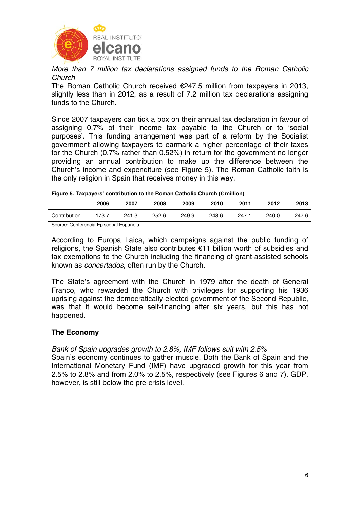

*More than 7 million tax declarations assigned funds to the Roman Catholic Church* 

The Roman Catholic Church received €247.5 million from taxpayers in 2013, slightly less than in 2012, as a result of 7.2 million tax declarations assigning funds to the Church.

Since 2007 taxpayers can tick a box on their annual tax declaration in favour of assigning 0.7% of their income tax payable to the Church or to 'social purposes'. This funding arrangement was part of a reform by the Socialist government allowing taxpayers to earmark a higher percentage of their taxes for the Church (0.7% rather than 0.52%) in return for the government no longer providing an annual contribution to make up the difference between the Church's income and expenditure (see Figure 5). The Roman Catholic faith is the only religion in Spain that receives money in this way.

#### **Figure 5. Taxpayers' contribution to the Roman Catholic Church (€ million)**

|              | 2006  | 2007  | 2008  | 2009  | 2010  | 2011  | 2012  | 2013  |
|--------------|-------|-------|-------|-------|-------|-------|-------|-------|
| Contribution | 173.7 | 241.3 | 252.6 | 249.9 | 248.6 | 247.1 | 240.0 | 247.6 |
|              |       |       |       |       |       |       |       |       |

Source: Conferencia Episcopal Española.

According to Europa Laica, which campaigns against the public funding of religions, the Spanish State also contributes €11 billion worth of subsidies and tax exemptions to the Church including the financing of grant-assisted schools known as *concertados*, often run by the Church.

The State's agreement with the Church in 1979 after the death of General Franco, who rewarded the Church with privileges for supporting his 1936 uprising against the democratically-elected government of the Second Republic, was that it would become self-financing after six years, but this has not happened.

### **The Economy**

# *Bank of Spain upgrades growth to 2.8%, IMF follows suit with 2.5%*

Spain's economy continues to gather muscle. Both the Bank of Spain and the International Monetary Fund (IMF) have upgraded growth for this year from 2.5% to 2.8% and from 2.0% to 2.5%, respectively (see Figures 6 and 7). GDP, however, is still below the pre-crisis level.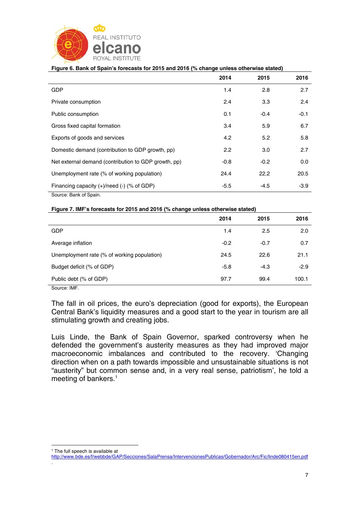

| Figure 6. Bank of Spain's forecasts for 2015 and 2016 (% change unless otherwise stated) |        |        |        |  |  |  |
|------------------------------------------------------------------------------------------|--------|--------|--------|--|--|--|
|                                                                                          | 2014   | 2015   | 2016   |  |  |  |
| <b>GDP</b>                                                                               | 1.4    | 2.8    | 2.7    |  |  |  |
| Private consumption                                                                      | 2.4    | 3.3    | 2.4    |  |  |  |
| Public consumption                                                                       | 0.1    | $-0.4$ | $-0.1$ |  |  |  |
| Gross fixed capital formation                                                            | 3.4    | 5.9    | 6.7    |  |  |  |
| Exports of goods and services                                                            | 4.2    | 5.2    | 5.8    |  |  |  |
| Domestic demand (contribution to GDP growth, pp)                                         | 2.2    | 3.0    | 2.7    |  |  |  |
| Net external demand (contribution to GDP growth, pp)                                     | $-0.8$ | $-0.2$ | 0.0    |  |  |  |
| Unemployment rate (% of working population)                                              | 24.4   | 22.2   | 20.5   |  |  |  |
| Financing capacity (+)/need (-) (% of GDP)                                               | $-5.5$ | $-4.5$ | $-3.9$ |  |  |  |
| Source: Bank of Spain.                                                                   |        |        |        |  |  |  |

#### **Figure 7. IMF's forecasts for 2015 and 2016 (% change unless otherwise stated)**

|                                                                                                                                    | 2014   | 2015   | 2016   |
|------------------------------------------------------------------------------------------------------------------------------------|--------|--------|--------|
| <b>GDP</b>                                                                                                                         | 1.4    | 2.5    | 2.0    |
| Average inflation                                                                                                                  | $-0.2$ | $-0.7$ | 0.7    |
| Unemployment rate (% of working population)                                                                                        | 24.5   | 22.6   | 21.1   |
| Budget deficit (% of GDP)                                                                                                          | $-5.8$ | $-4.3$ | $-2.9$ |
| Public debt (% of GDP)                                                                                                             | 97.7   | 99.4   | 100.1  |
| $O2$ and $O2$ and $O2$ and $O2$ and $O2$ and $O2$ and $O2$ and $O2$ and $O2$ and $O2$ and $O2$ and $O2$ and $O2$ and $O2$ and $O2$ |        |        |        |

Source: IMF.

The fall in oil prices, the euro's depreciation (good for exports), the European Central Bank's liquidity measures and a good start to the year in tourism are all stimulating growth and creating jobs.

Luis Linde, the Bank of Spain Governor, sparked controversy when he defended the government's austerity measures as they had improved major macroeconomic imbalances and contributed to the recovery. 'Changing direction when on a path towards impossible and unsustainable situations is not "austerity" but common sense and, in a very real sense, patriotism', he told a meeting of bankers.<sup>1</sup>

http://www.bde.es/f/webbde/GAP/Secciones/SalaPrensa/IntervencionesPublicas/Gobernador/Arc/Fic/linde080415en.pdf .

<sup>1</sup> <sup>1</sup> The full speech is available at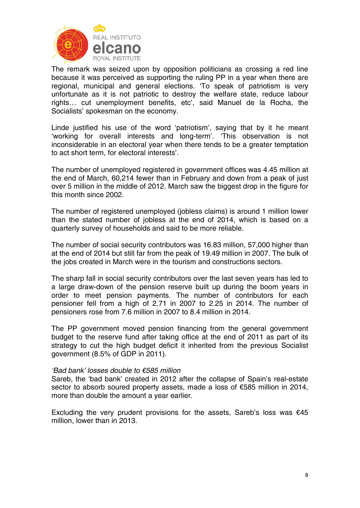

The remark was seized upon by opposition politicians as crossing a red line because it was perceived as supporting the ruling PP in a year when there are regional, municipal and general elections. 'To speak of patriotism is very unfortunate as it is not patriotic to destroy the welfare state, reduce labour rights… cut unemployment benefits, etc', said Manuel de la Rocha, the Socialists' spokesman on the economy.

Linde justified his use of the word 'patriotism', saying that by it he meant 'working for overall interests and long-term'. 'This observation is not inconsiderable in an electoral year when there tends to be a greater temptation to act short term, for electoral interests'.

The number of unemployed registered in government offices was 4.45 million at the end of March, 60,214 fewer than in February and down from a peak of just over 5 million in the middle of 2012. March saw the biggest drop in the figure for this month since 2002.

The number of registered unemployed (jobless claims) is around 1 million lower than the stated number of jobless at the end of 2014, which is based on a quarterly survey of households and said to be more reliable.

The number of social security contributors was 16.83 million, 57,000 higher than at the end of 2014 but still far from the peak of 19.49 million in 2007. The bulk of the jobs created in March were in the tourism and constructions sectors.

The sharp fall in social security contributors over the last seven years has led to a large draw-down of the pension reserve built up during the boom years in order to meet pension payments. The number of contributors for each pensioner fell from a high of 2.71 in 2007 to 2.25 in 2014. The number of pensioners rose from 7.6 million in 2007 to 8.4 million in 2014.

The PP government moved pension financing from the general government budget to the reserve fund after taking office at the end of 2011 as part of its strategy to cut the high budget deficit it inherited from the previous Socialist government (8.5% of GDP in 2011).

### *'Bad bank' losses double to €585 million*

Sareb, the 'bad bank' created in 2012 after the collapse of Spain's real-estate sector to absorb soured property assets, made a loss of €585 million in 2014, more than double the amount a year earlier.

Excluding the very prudent provisions for the assets, Sareb's loss was  $€45$ million, lower than in 2013.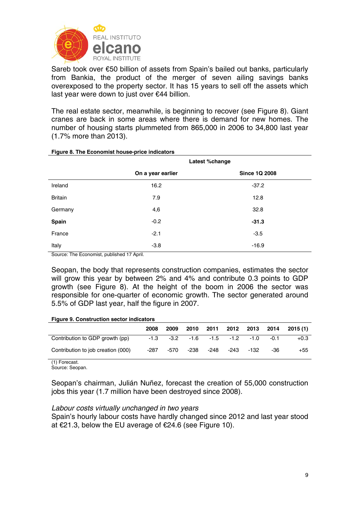

Sareb took over €50 billion of assets from Spain's bailed out banks, particularly from Bankia, the product of the merger of seven ailing savings banks overexposed to the property sector. It has 15 years to sell off the assets which last year were down to just over €44 billion.

The real estate sector, meanwhile, is beginning to recover (see Figure 8). Giant cranes are back in some areas where there is demand for new homes. The number of housing starts plummeted from 865,000 in 2006 to 34,800 last year (1.7% more than 2013).

|                | Latest %change    |                      |  |  |  |
|----------------|-------------------|----------------------|--|--|--|
|                | On a year earlier | <b>Since 1Q 2008</b> |  |  |  |
| Ireland        | 16.2              | $-37.2$              |  |  |  |
| <b>Britain</b> | 7.9               | 12.8                 |  |  |  |
| Germany        | 4,6               | 32.8                 |  |  |  |
| Spain          | $-0.2$            | $-31.3$              |  |  |  |
| France         | $-2.1$            | $-3.5$               |  |  |  |
| Italy          | $-3.8$            | $-16.9$              |  |  |  |

#### **Figure 8. The Economist house-price indicators**

Source: The Economist, published 17 April.

Seopan, the body that represents construction companies, estimates the sector will grow this year by between 2% and 4% and contribute 0.3 points to GDP growth (see Figure 8). At the height of the boom in 2006 the sector was responsible for one-quarter of economic growth. The sector generated around 5.5% of GDP last year, half the figure in 2007.

### **Figure 9. Construction sector indicators**

|                                    | 2008 | 2009                                             |      |      |      |      |     | 2010 2011 2012 2013 2014 2015 (1) |
|------------------------------------|------|--------------------------------------------------|------|------|------|------|-----|-----------------------------------|
| Contribution to GDP growth (pp)    |      | $-1.3$ $-3.2$ $-1.6$ $-1.5$ $-1.2$ $-1.0$ $-0.1$ |      |      |      |      |     | $+0.3$                            |
| Contribution to job creation (000) | -287 | -570                                             | -238 | -248 | -243 | -132 | -36 | $+55$                             |

(1) Forecast.

Source: Seopan.

Seopan's chairman, Julián Nuñez, forecast the creation of 55,000 construction jobs this year (1.7 million have been destroyed since 2008).

### *Labour costs virtually unchanged in two years*

Spain's hourly labour costs have hardly changed since 2012 and last year stood at €21.3, below the EU average of €24.6 (see Figure 10).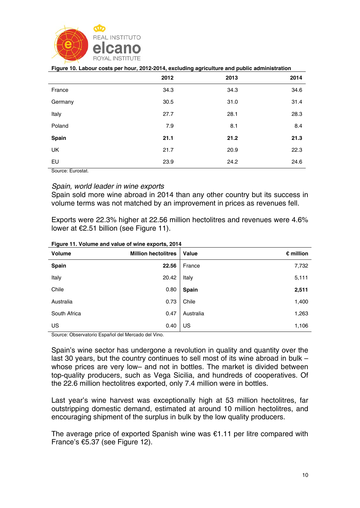

|         | 2012 | 2013 | 2014 |
|---------|------|------|------|
| France  | 34.3 | 34.3 | 34.6 |
| Germany | 30.5 | 31.0 | 31.4 |
| Italy   | 27.7 | 28.1 | 28.3 |
| Poland  | 7.9  | 8.1  | 8.4  |
| Spain   | 21.1 | 21.2 | 21.3 |
| UK      | 21.7 | 20.9 | 22.3 |
| EU      | 23.9 | 24.2 | 24.6 |

#### **Figure 10. Labour costs per hour, 2012-2014, excluding agriculture and public administration**

Source: Eurostat.

## *Spain, world leader in wine exports*

Spain sold more wine abroad in 2014 than any other country but its success in volume terms was not matched by an improvement in prices as revenues fell.

Exports were 22.3% higher at 22.56 million hectolitres and revenues were 4.6% lower at €2.51 billion (see Figure 11).

| Volume       | <b>Million hectolitres</b> | Value        | $\epsilon$ million |
|--------------|----------------------------|--------------|--------------------|
| <b>Spain</b> | 22.56                      | France       | 7,732              |
| Italy        | 20.42                      | Italy        | 5,111              |
| Chile        | 0.80                       | <b>Spain</b> | 2,511              |
| Australia    | 0.73                       | Chile        | 1,400              |
| South Africa | 0.47                       | Australia    | 1,263              |
| US           | 0.40                       | US           | 1,106              |

**Figure 11. Volume and value of wine exports, 2014** 

Source: Observatorio Español del Mercado del Vino.

Spain's wine sector has undergone a revolution in quality and quantity over the last 30 years, but the country continues to sell most of its wine abroad in bulk – whose prices are very low– and not in bottles. The market is divided between top-quality producers, such as Vega Sicilia, and hundreds of cooperatives. Of the 22.6 million hectolitres exported, only 7.4 million were in bottles.

Last year's wine harvest was exceptionally high at 53 million hectolitres, far outstripping domestic demand, estimated at around 10 million hectolitres, and encouraging shipment of the surplus in bulk by the low quality producers.

The average price of exported Spanish wine was €1.11 per litre compared with France's €5.37 (see Figure 12).